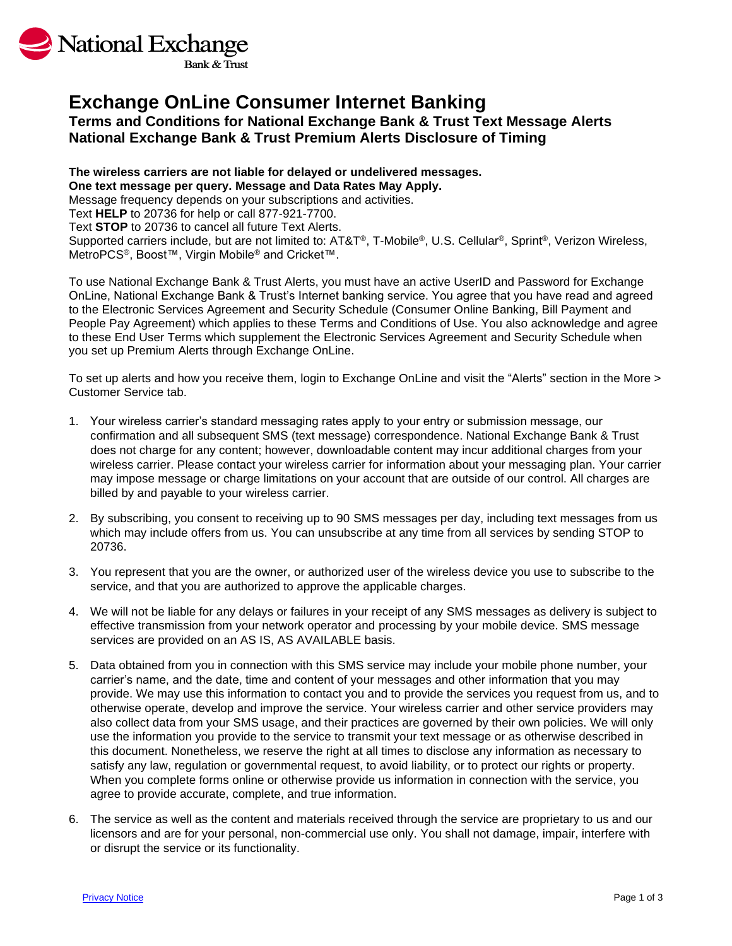

# **Exchange OnLine Consumer Internet Banking**

# **Terms and Conditions for National Exchange Bank & Trust Text Message Alerts National Exchange Bank & Trust Premium Alerts Disclosure of Timing**

## **The wireless carriers are not liable for delayed or undelivered messages. One text message per query. Message and Data Rates May Apply.**

Message frequency depends on your subscriptions and activities.

Text **HELP** to 20736 for help or call 877-921-7700.

Text **STOP** to 20736 to cancel all future Text Alerts.

Supported carriers include, but are not limited to: AT&T®, T-Mobile®, U.S. Cellular®, Sprint®, Verizon Wireless, MetroPCS®, Boost™, Virgin Mobile® and Cricket™.

To use National Exchange Bank & Trust Alerts, you must have an active UserID and Password for Exchange OnLine, National Exchange Bank & Trust's Internet banking service. You agree that you have read and agreed to the Electronic Services Agreement and Security Schedule (Consumer Online Banking, Bill Payment and People Pay Agreement) which applies to these Terms and Conditions of Use. You also acknowledge and agree to these End User Terms which supplement the Electronic Services Agreement and Security Schedule when you set up Premium Alerts through Exchange OnLine.

To set up alerts and how you receive them, login to Exchange OnLine and visit the "Alerts" section in the More > Customer Service tab.

- 1. Your wireless carrier's standard messaging rates apply to your entry or submission message, our confirmation and all subsequent SMS (text message) correspondence. National Exchange Bank & Trust does not charge for any content; however, downloadable content may incur additional charges from your wireless carrier. Please contact your wireless carrier for information about your messaging plan. Your carrier may impose message or charge limitations on your account that are outside of our control. All charges are billed by and payable to your wireless carrier.
- 2. By subscribing, you consent to receiving up to 90 SMS messages per day, including text messages from us which may include offers from us. You can unsubscribe at any time from all services by sending STOP to 20736.
- 3. You represent that you are the owner, or authorized user of the wireless device you use to subscribe to the service, and that you are authorized to approve the applicable charges.
- 4. We will not be liable for any delays or failures in your receipt of any SMS messages as delivery is subject to effective transmission from your network operator and processing by your mobile device. SMS message services are provided on an AS IS, AS AVAILABLE basis.
- 5. Data obtained from you in connection with this SMS service may include your mobile phone number, your carrier's name, and the date, time and content of your messages and other information that you may provide. We may use this information to contact you and to provide the services you request from us, and to otherwise operate, develop and improve the service. Your wireless carrier and other service providers may also collect data from your SMS usage, and their practices are governed by their own policies. We will only use the information you provide to the service to transmit your text message or as otherwise described in this document. Nonetheless, we reserve the right at all times to disclose any information as necessary to satisfy any law, regulation or governmental request, to avoid liability, or to protect our rights or property. When you complete forms online or otherwise provide us information in connection with the service, you agree to provide accurate, complete, and true information.
- 6. The service as well as the content and materials received through the service are proprietary to us and our licensors and are for your personal, non-commercial use only. You shall not damage, impair, interfere with or disrupt the service or its functionality.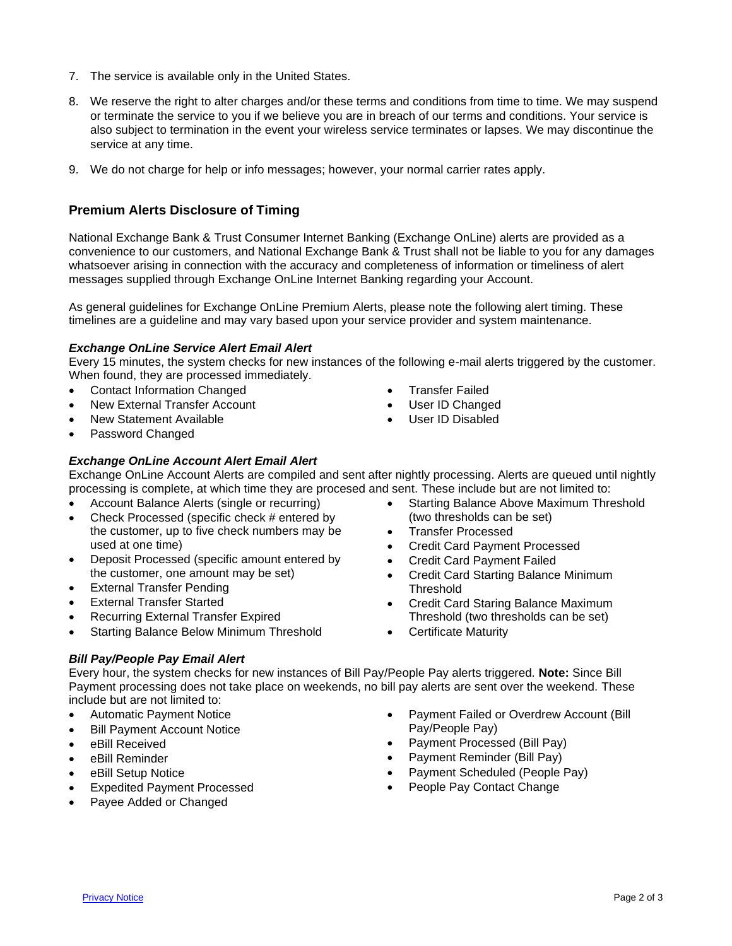- 7. The service is available only in the United States.
- 8. We reserve the right to alter charges and/or these terms and conditions from time to time. We may suspend or terminate the service to you if we believe you are in breach of our terms and conditions. Your service is also subject to termination in the event your wireless service terminates or lapses. We may discontinue the service at any time.
- 9. We do not charge for help or info messages; however, your normal carrier rates apply.

# **Premium Alerts Disclosure of Timing**

National Exchange Bank & Trust Consumer Internet Banking (Exchange OnLine) alerts are provided as a convenience to our customers, and National Exchange Bank & Trust shall not be liable to you for any damages whatsoever arising in connection with the accuracy and completeness of information or timeliness of alert messages supplied through Exchange OnLine Internet Banking regarding your Account.

As general guidelines for Exchange OnLine Premium Alerts, please note the following alert timing. These timelines are a guideline and may vary based upon your service provider and system maintenance.

#### *Exchange OnLine Service Alert Email Alert*

Every 15 minutes, the system checks for new instances of the following e-mail alerts triggered by the customer. When found, they are processed immediately.

- Contact Information Changed
- New External Transfer Account
- New Statement Available
- Password Changed

## *Exchange OnLine Account Alert Email Alert*

Exchange OnLine Account Alerts are compiled and sent after nightly processing. Alerts are queued until nightly processing is complete, at which time they are procesed and sent. These include but are not limited to:

- Account Balance Alerts (single or recurring)
- Check Processed (specific check # entered by the customer, up to five check numbers may be used at one time)
- Deposit Processed (specific amount entered by the customer, one amount may be set)
- External Transfer Pending
- External Transfer Started
- Recurring External Transfer Expired
- Starting Balance Below Minimum Threshold

## *Bill Pay/People Pay Email Alert*

Every hour, the system checks for new instances of Bill Pay/People Pay alerts triggered. **Note:** Since Bill Payment processing does not take place on weekends, no bill pay alerts are sent over the weekend. These include but are not limited to:

- Automatic Payment Notice
- **Bill Payment Account Notice**
- eBill Received
- eBill Reminder
- eBill Setup Notice
- Expedited Payment Processed
- Payee Added or Changed
- Transfer Failed User ID Changed
- User ID Disabled
- Starting Balance Above Maximum Threshold (two thresholds can be set)
- Transfer Processed
- Credit Card Payment Processed
- Credit Card Payment Failed
- Credit Card Starting Balance Minimum Threshold
- Credit Card Staring Balance Maximum Threshold (two thresholds can be set)
- Certificate Maturity
- Payment Failed or Overdrew Account (Bill Pay/People Pay)
- Payment Processed (Bill Pay)
- Payment Reminder (Bill Pay)
- Payment Scheduled (People Pay)
- People Pay Contact Change